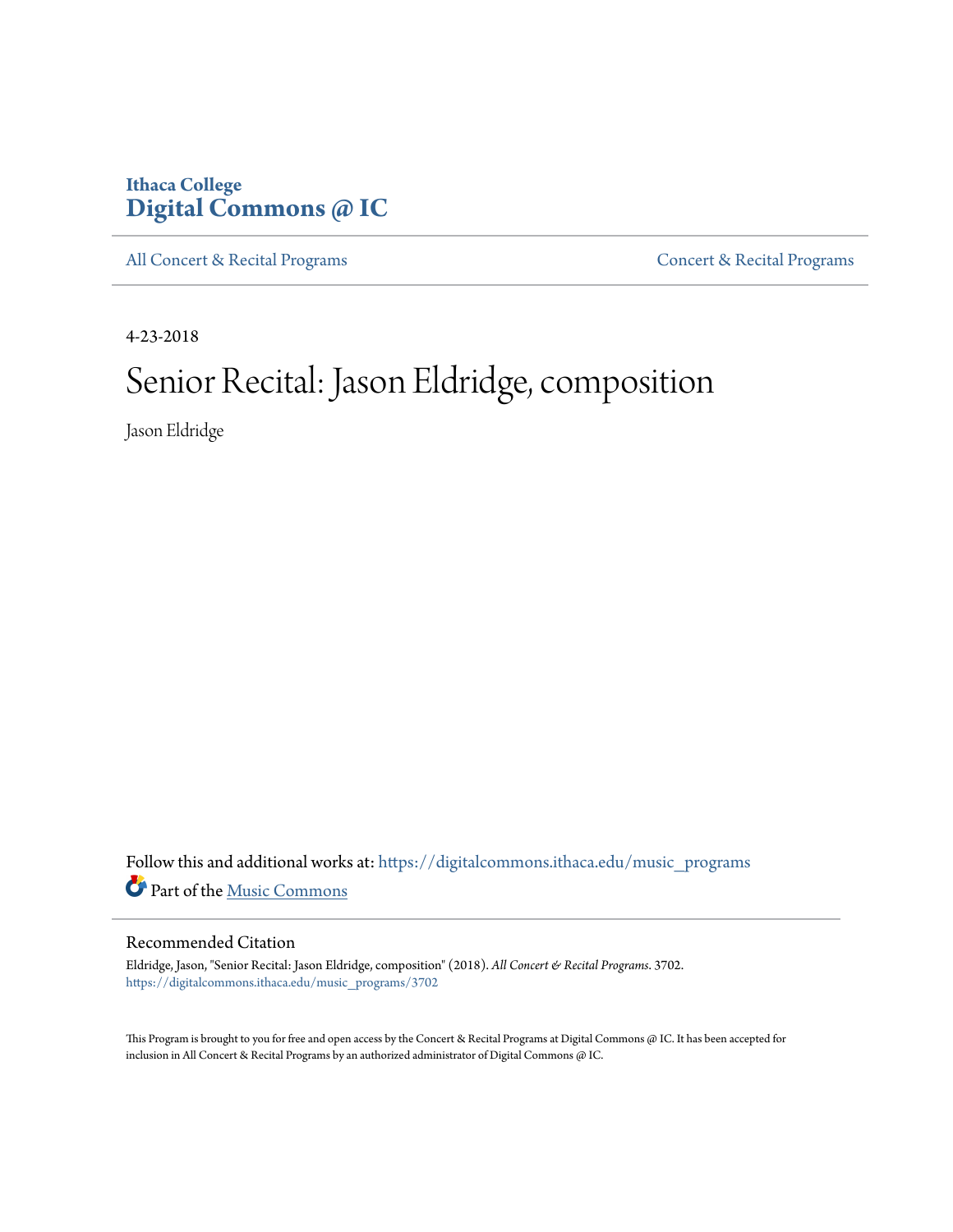# **Ithaca College [Digital Commons @ IC](https://digitalcommons.ithaca.edu?utm_source=digitalcommons.ithaca.edu%2Fmusic_programs%2F3702&utm_medium=PDF&utm_campaign=PDFCoverPages)**

[All Concert & Recital Programs](https://digitalcommons.ithaca.edu/music_programs?utm_source=digitalcommons.ithaca.edu%2Fmusic_programs%2F3702&utm_medium=PDF&utm_campaign=PDFCoverPages) [Concert & Recital Programs](https://digitalcommons.ithaca.edu/som_programs?utm_source=digitalcommons.ithaca.edu%2Fmusic_programs%2F3702&utm_medium=PDF&utm_campaign=PDFCoverPages)

4-23-2018

# Senior Recital: Jason Eldridge, composition

Jason Eldridge

Follow this and additional works at: [https://digitalcommons.ithaca.edu/music\\_programs](https://digitalcommons.ithaca.edu/music_programs?utm_source=digitalcommons.ithaca.edu%2Fmusic_programs%2F3702&utm_medium=PDF&utm_campaign=PDFCoverPages) Part of the [Music Commons](http://network.bepress.com/hgg/discipline/518?utm_source=digitalcommons.ithaca.edu%2Fmusic_programs%2F3702&utm_medium=PDF&utm_campaign=PDFCoverPages)

#### Recommended Citation

Eldridge, Jason, "Senior Recital: Jason Eldridge, composition" (2018). *All Concert & Recital Programs*. 3702. [https://digitalcommons.ithaca.edu/music\\_programs/3702](https://digitalcommons.ithaca.edu/music_programs/3702?utm_source=digitalcommons.ithaca.edu%2Fmusic_programs%2F3702&utm_medium=PDF&utm_campaign=PDFCoverPages)

This Program is brought to you for free and open access by the Concert & Recital Programs at Digital Commons @ IC. It has been accepted for inclusion in All Concert & Recital Programs by an authorized administrator of Digital Commons @ IC.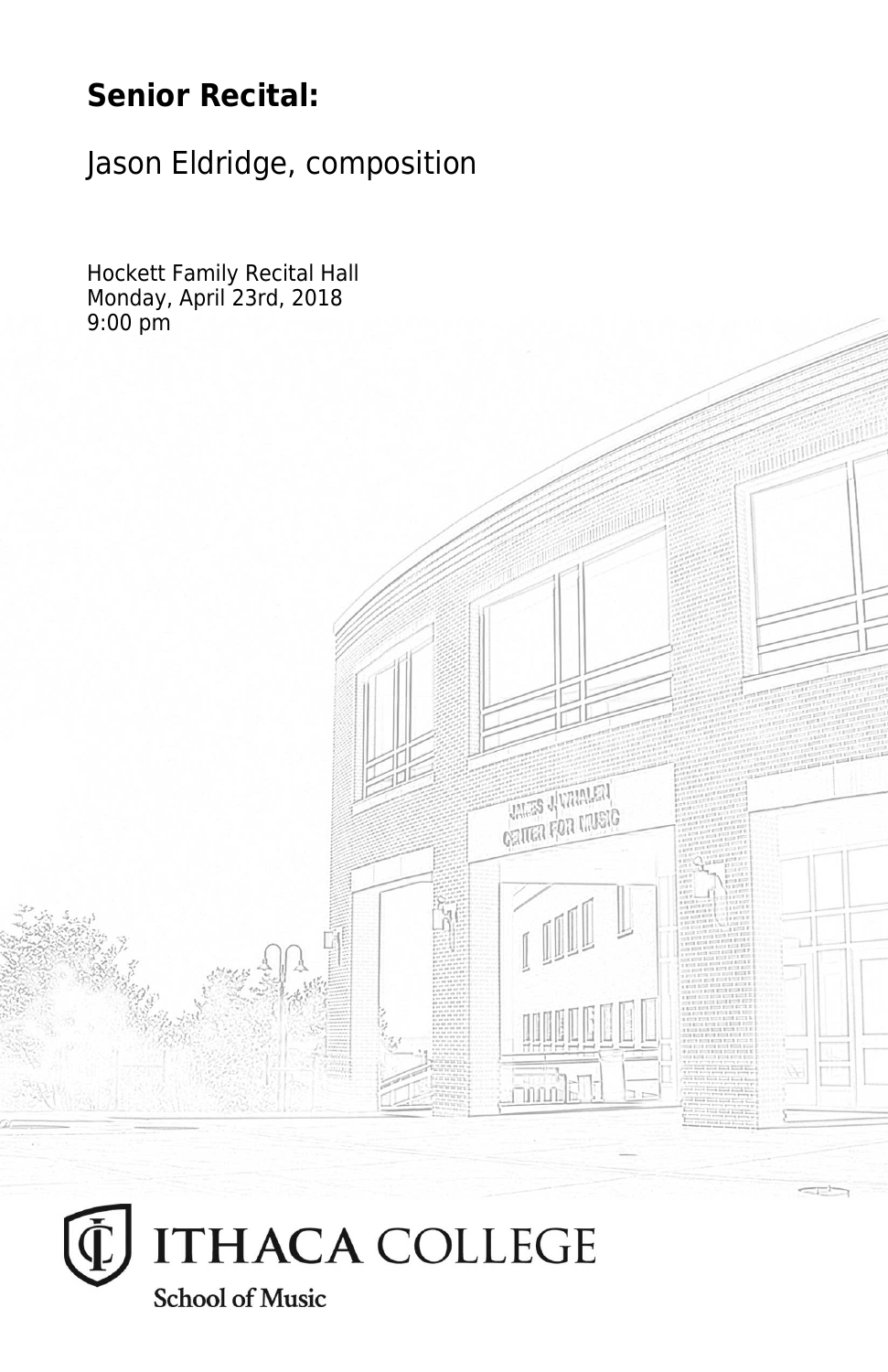# **Senior Recital:**

Jason Eldridge, composition

Hockett Family Recital Hall Monday, April 23rd, 2018 9:00 pm